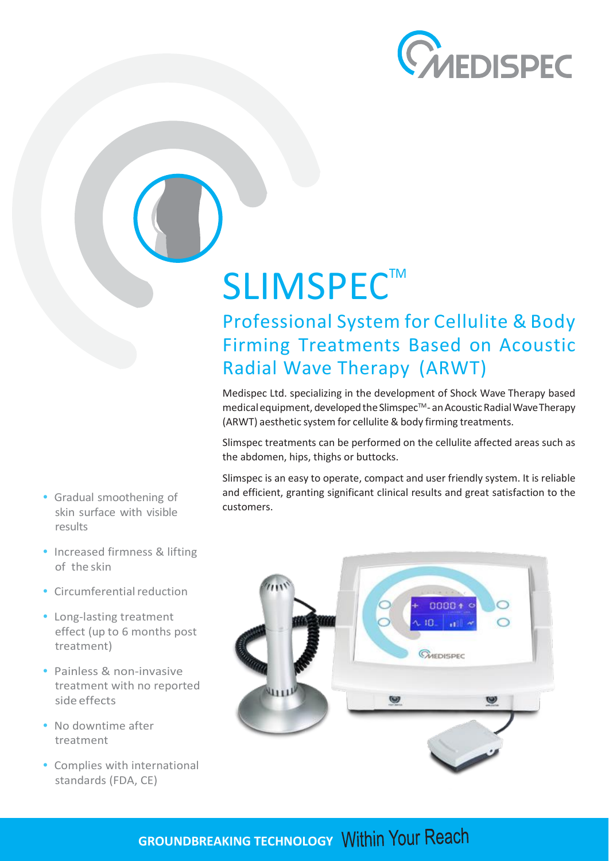

# SLIMSPEC<sup>™</sup>

Professional System for Cellulite & Body Firming Treatments Based on Acoustic Radial Wave Therapy (ARWT)

Medispec Ltd. specializing in the development of Shock Wave Therapy based medical equipment, developed the Slimspec<sup>™</sup>- an Acoustic Radial Wave Therapy (ARWT) aesthetic system for cellulite & body firming treatments.

Slimspec treatments can be performed on the cellulite affected areas such as the abdomen, hips, thighs or buttocks.

Slimspec is an easy to operate, compact and user friendly system. It is reliable and efficient, granting significant clinical results and great satisfaction to the customers.



- **•** Gradual smoothening of skin surface with visible results
- **•** Increased firmness & lifting of the skin
- Circumferential reduction
- **•** Long-lasting treatment effect (up to 6 months post treatment)
- **•** Painless & non-invasive treatment with no reported side effects
- **•** No downtime after treatment
- **•** Complies with international standards (FDA, CE)